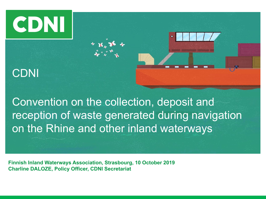# CDNI

### CDNI



**Finnish Inland Waterways Association, Strasbourg, 10 October 2019 Charline DALOZE, Policy Officer, CDNI Secretariat**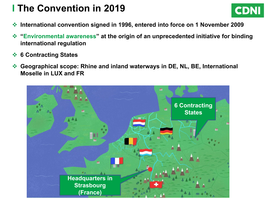### **I The Convention in 2019**



- **International convention signed in 1996, entered into force on 1 November 2009**
- **"Environmental awareness" at the origin of an unprecedented initiative for binding international regulation**
- **6 Contracting States**
- **Geographical scope: Rhine and inland waterways in DE, NL, BE, International Moselle in LUX and FR**

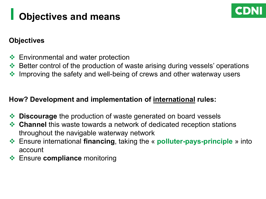# **I Objectives and means**



#### **Objectives**

- **Environmental and water protection**
- ◆ Better control of the production of waste arising during vessels' operations
- **Improving the safety and well-being of crews and other waterway users**

# **How? Development and implementation of international rules:**

- **Discourage** the production of waste generated on board vessels
- **Channel** this waste towards a network of dedicated reception stations throughout the navigable waterway network
- Ensure international **financing**, taking the « **polluter-pays-principle** » into account
- Ensure **compliance** monitoring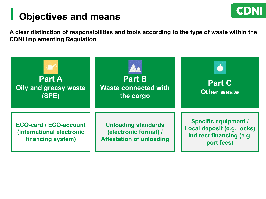

### **I Objectives and means**

**A clear distinction of responsibilities and tools according to the type of waste within the CDNI Implementing Regulation**

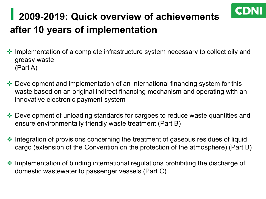### **I 2009-2019: Quick overview of achievements after 10 years of implementation**

• Implementation of a complete infrastructure system necessary to collect oily and greasy waste (Part A)

CDNI

- →<br> Development and implementation of an international financing system for this ↓<br> waste based on an original indirect financing mechanism and operating with an<br>innovative electronic payment system innovative electronic payment system
- Development of unloading standards for cargoes to reduce waste quantities and ensure environmentally friendly waste treatment (Part B)
- $\cdot$  Integration of provisions concerning the treatment of gaseous residues of liquid cargo (extension of the Convention on the protection of the atmosphere) (Part B)
- Implementation of binding international regulations prohibiting the discharge of domestic wastewater to passenger vessels (Part C)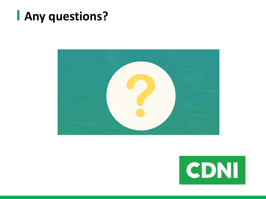# **I Any questions?**



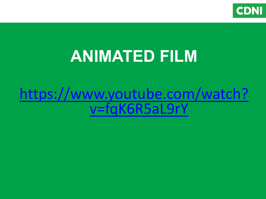

# **ANIMATED FILM**

# [https://www.youtube.com/watch?](https://www.youtube.com/watch?v=fqK6R5aL9rY) v=fqK6R5aL9rY